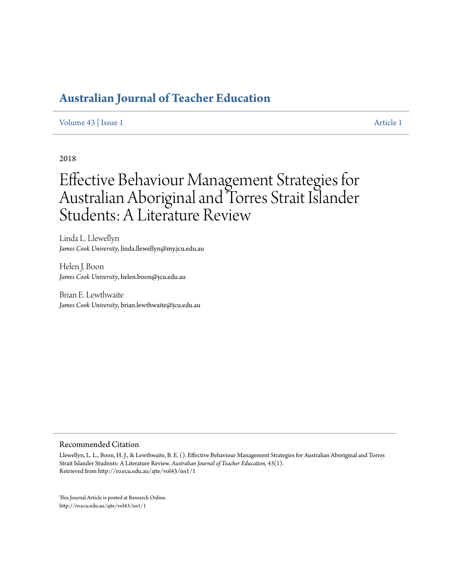## **[Australian Journal of Teacher Education](http://ro.ecu.edu.au/ajte)**

#### [Volume 43](http://ro.ecu.edu.au/ajte/vol43) | [Issue 1](http://ro.ecu.edu.au/ajte/vol43/iss1) [Article 1](http://ro.ecu.edu.au/ajte/vol43/iss1/1)

## 2018

# Effective Behaviour Management Strategies for Australian Aboriginal and Torres Strait Islander Students: A Literature Review

Linda L. Llewellyn *James Cook University*, linda.llewellyn@my.jcu.edu.au

Helen J. Boon *James Cook University*, helen.boon@jcu.edu.au

Brian E. Lewthwaite *James Cook University*, brian.lewthwaite@jcu.edu.au

#### Recommended Citation

Llewellyn, L. L., Boon, H. J., & Lewthwaite, B. E. (). Effective Behaviour Management Strategies for Australian Aboriginal and Torres Strait Islander Students: A Literature Review. *Australian Journal of Teacher Education, 43*(1). Retrieved from http://ro.ecu.edu.au/ajte/vol43/iss1/1

This Journal Article is posted at Research Online. http://ro.ecu.edu.au/ajte/vol43/iss1/1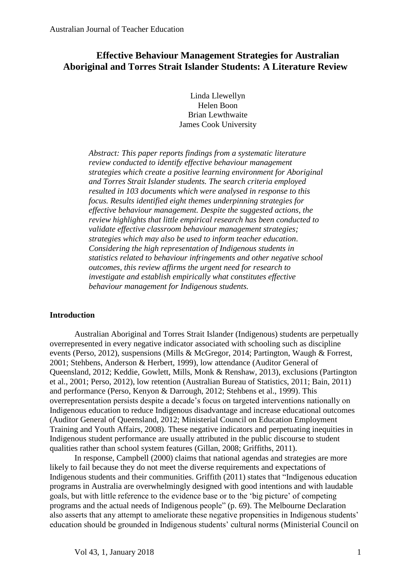## **Effective Behaviour Management Strategies for Australian Aboriginal and Torres Strait Islander Students: A Literature Review**

Linda Llewellyn Helen Boon Brian Lewthwaite James Cook University

*Abstract: This paper reports findings from a systematic literature review conducted to identify effective behaviour management strategies which create a positive learning environment for Aboriginal and Torres Strait Islander students. The search criteria employed resulted in 103 documents which were analysed in response to this focus. Results identified eight themes underpinning strategies for effective behaviour management. Despite the suggested actions, the review highlights that little empirical research has been conducted to validate effective classroom behaviour management strategies; strategies which may also be used to inform teacher education*. *Considering the high representation of Indigenous students in statistics related to behaviour infringements and other negative school outcomes, this review affirms the urgent need for research to investigate and establish empirically what constitutes effective behaviour management for Indigenous students.* 

## **Introduction**

Australian Aboriginal and Torres Strait Islander (Indigenous) students are perpetually overrepresented in every negative indicator associated with schooling such as discipline events (Perso, 2012), suspensions (Mills & McGregor, 2014; Partington, Waugh & Forrest, 2001; Stehbens, Anderson & Herbert, 1999), low attendance (Auditor General of Queensland, 2012; Keddie, Gowlett, Mills, Monk & Renshaw, 2013), exclusions (Partington et al., 2001; Perso, 2012), low retention (Australian Bureau of Statistics, 2011; Bain, 2011) and performance (Perso, Kenyon & Darrough, 2012; Stehbens et al., 1999). This overrepresentation persists despite a decade's focus on targeted interventions nationally on Indigenous education to reduce Indigenous disadvantage and increase educational outcomes (Auditor General of Queensland, 2012; Ministerial Council on Education Employment Training and Youth Affairs, 2008). These negative indicators and perpetuating inequities in Indigenous student performance are usually attributed in the public discourse to student qualities rather than school system features (Gillan, 2008; Griffiths, 2011).

In response, Campbell (2000) claims that national agendas and strategies are more likely to fail because they do not meet the diverse requirements and expectations of Indigenous students and their communities. Griffith (2011) states that "Indigenous education programs in Australia are overwhelmingly designed with good intentions and with laudable goals, but with little reference to the evidence base or to the 'big picture' of competing programs and the actual needs of Indigenous people" (p. 69). The Melbourne Declaration also asserts that any attempt to ameliorate these negative propensities in Indigenous students' education should be grounded in Indigenous students' cultural norms (Ministerial Council on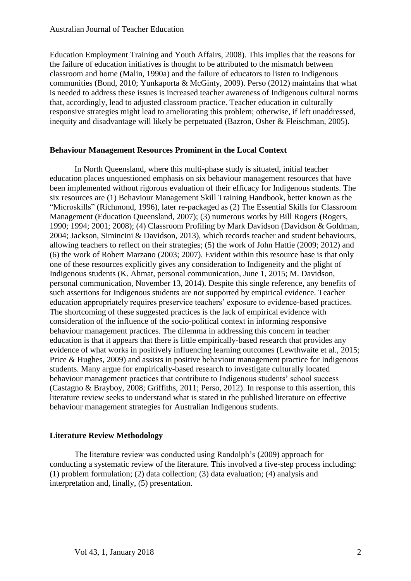Education Employment Training and Youth Affairs, 2008). This implies that the reasons for the failure of education initiatives is thought to be attributed to the mismatch between classroom and home (Malin, 1990a) and the failure of educators to listen to Indigenous communities (Bond, 2010; Yunkaporta & McGinty, 2009). Perso (2012) maintains that what is needed to address these issues is increased teacher awareness of Indigenous cultural norms that, accordingly, lead to adjusted classroom practice. Teacher education in culturally responsive strategies might lead to ameliorating this problem; otherwise, if left unaddressed, inequity and disadvantage will likely be perpetuated (Bazron, Osher & Fleischman, 2005).

## **Behaviour Management Resources Prominent in the Local Context**

In North Queensland, where this multi-phase study is situated, initial teacher education places unquestioned emphasis on six behaviour management resources that have been implemented without rigorous evaluation of their efficacy for Indigenous students. The six resources are (1) Behaviour Management Skill Training Handbook, better known as the "Microskills" (Richmond, 1996), later re-packaged as (2) The Essential Skills for Classroom Management (Education Queensland, 2007); (3) numerous works by Bill Rogers (Rogers, 1990; 1994; 2001; 2008); (4) Classroom Profiling by Mark Davidson (Davidson & Goldman, 2004; Jackson, Simincini & Davidson, 2013), which records teacher and student behaviours, allowing teachers to reflect on their strategies; (5) the work of John Hattie (2009; 2012) and (6) the work of Robert Marzano (2003; 2007). Evident within this resource base is that only one of these resources explicitly gives any consideration to Indigeneity and the plight of Indigenous students (K. Ahmat, personal communication, June 1, 2015; M. Davidson, personal communication, November 13, 2014). Despite this single reference, any benefits of such assertions for Indigenous students are not supported by empirical evidence. Teacher education appropriately requires preservice teachers' exposure to evidence-based practices. The shortcoming of these suggested practices is the lack of empirical evidence with consideration of the influence of the socio-political context in informing responsive behaviour management practices. The dilemma in addressing this concern in teacher education is that it appears that there is little empirically-based research that provides any evidence of what works in positively influencing learning outcomes (Lewthwaite et al., 2015; Price & Hughes, 2009) and assists in positive behaviour management practice for Indigenous students. Many argue for empirically-based research to investigate culturally located behaviour management practices that contribute to Indigenous students' school success (Castagno & Brayboy, 2008; Griffiths, 2011; Perso, 2012). In response to this assertion, this literature review seeks to understand what is stated in the published literature on effective behaviour management strategies for Australian Indigenous students.

## **Literature Review Methodology**

The literature review was conducted using Randolph's (2009) approach for conducting a systematic review of the literature. This involved a five-step process including: (1) problem formulation; (2) data collection; (3) data evaluation; (4) analysis and interpretation and, finally, (5) presentation.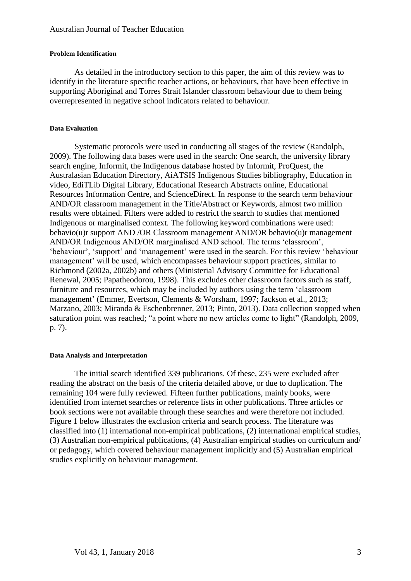#### **Problem Identification**

As detailed in the introductory section to this paper, the aim of this review was to identify in the literature specific teacher actions, or behaviours, that have been effective in supporting Aboriginal and Torres Strait Islander classroom behaviour due to them being overrepresented in negative school indicators related to behaviour.

#### **Data Evaluation**

Systematic protocols were used in conducting all stages of the review (Randolph, 2009). The following data bases were used in the search: One search, the university library search engine, Informit, the Indigenous database hosted by Informit, ProQuest, the Australasian Education Directory, AiATSIS Indigenous Studies bibliography, Education in video, EdiTLib Digital Library, Educational Research Abstracts online, Educational Resources Information Centre, and ScienceDirect. In response to the search term behaviour AND/OR classroom management in the Title/Abstract or Keywords, almost two million results were obtained. Filters were added to restrict the search to studies that mentioned Indigenous or marginalised context. The following keyword combinations were used: behavio(u)r support AND /OR Classroom management AND/OR behavio(u)r management AND/OR Indigenous AND/OR marginalised AND school. The terms 'classroom', 'behaviour', 'support' and 'management' were used in the search. For this review 'behaviour management' will be used, which encompasses behaviour support practices, similar to Richmond (2002a, 2002b) and others (Ministerial Advisory Committee for Educational Renewal, 2005; Papatheodorou, 1998). This excludes other classroom factors such as staff, furniture and resources, which may be included by authors using the term 'classroom management' (Emmer, Evertson, Clements & Worsham, 1997; Jackson et al., 2013; Marzano, 2003; Miranda & Eschenbrenner, 2013; Pinto, 2013). Data collection stopped when saturation point was reached; "a point where no new articles come to light" (Randolph, 2009, p. 7).

#### **Data Analysis and Interpretation**

The initial search identified 339 publications. Of these, 235 were excluded after reading the abstract on the basis of the criteria detailed above, or due to duplication. The remaining 104 were fully reviewed. Fifteen further publications, mainly books, were identified from internet searches or reference lists in other publications. Three articles or book sections were not available through these searches and were therefore not included. Figure 1 below illustrates the exclusion criteria and search process. The literature was classified into (1) international non-empirical publications, (2) international empirical studies, (3) Australian non-empirical publications, (4) Australian empirical studies on curriculum and/ or pedagogy, which covered behaviour management implicitly and (5) Australian empirical studies explicitly on behaviour management.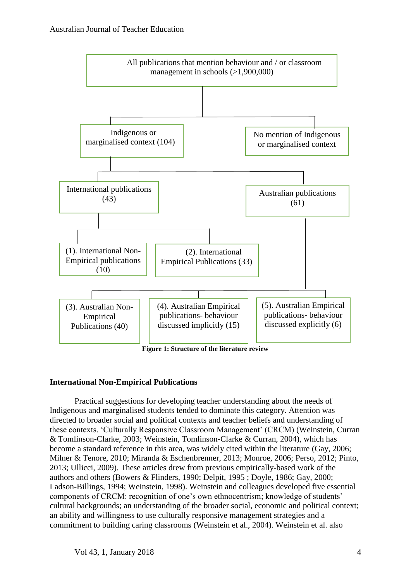

## **International Non-Empirical Publications**

Practical suggestions for developing teacher understanding about the needs of Indigenous and marginalised students tended to dominate this category. Attention was directed to broader social and political contexts and teacher beliefs and understanding of these contexts. 'Culturally Responsive Classroom Management' (CRCM) (Weinstein, Curran & Tomlinson-Clarke, 2003; Weinstein, Tomlinson-Clarke & Curran, 2004), which has become a standard reference in this area, was widely cited within the literature (Gay, 2006; Milner & Tenore, 2010; Miranda & Eschenbrenner, 2013; Monroe, 2006; Perso, 2012; Pinto, 2013; Ullicci, 2009). These articles drew from previous empirically-based work of the authors and others (Bowers & Flinders, 1990; Delpit, 1995 ; Doyle, 1986; Gay, 2000; Ladson-Billings, 1994; Weinstein, 1998). Weinstein and colleagues developed five essential components of CRCM: recognition of one's own ethnocentrism; knowledge of students' cultural backgrounds; an understanding of the broader social, economic and political context; an ability and willingness to use culturally responsive management strategies and a commitment to building caring classrooms (Weinstein et al., 2004). Weinstein et al. also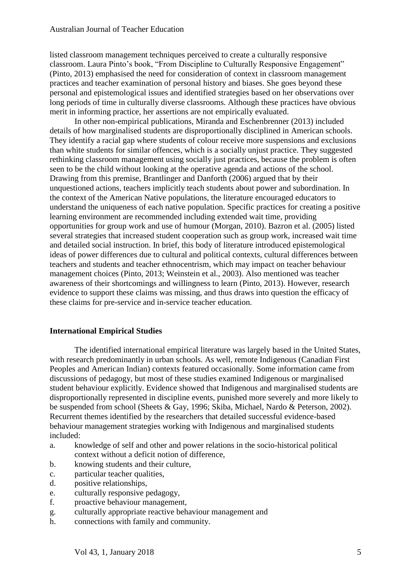listed classroom management techniques perceived to create a culturally responsive classroom. Laura Pinto's book, "From Discipline to Culturally Responsive Engagement" (Pinto, 2013) emphasised the need for consideration of context in classroom management practices and teacher examination of personal history and biases. She goes beyond these personal and epistemological issues and identified strategies based on her observations over long periods of time in culturally diverse classrooms. Although these practices have obvious merit in informing practice, her assertions are not empirically evaluated.

In other non-empirical publications, Miranda and Eschenbrenner (2013) included details of how marginalised students are disproportionally disciplined in American schools. They identify a racial gap where students of colour receive more suspensions and exclusions than white students for similar offences, which is a socially unjust practice. They suggested rethinking classroom management using socially just practices, because the problem is often seen to be the child without looking at the operative agenda and actions of the school. Drawing from this premise, Brantlinger and Danforth (2006) argued that by their unquestioned actions, teachers implicitly teach students about power and subordination. In the context of the American Native populations, the literature encouraged educators to understand the uniqueness of each native population. Specific practices for creating a positive learning environment are recommended including extended wait time, providing opportunities for group work and use of humour (Morgan, 2010). Bazron et al. (2005) listed several strategies that increased student cooperation such as group work, increased wait time and detailed social instruction. In brief, this body of literature introduced epistemological ideas of power differences due to cultural and political contexts, cultural differences between teachers and students and teacher ethnocentrism, which may impact on teacher behaviour management choices (Pinto, 2013; Weinstein et al., 2003). Also mentioned was teacher awareness of their shortcomings and willingness to learn (Pinto, 2013). However, research evidence to support these claims was missing, and thus draws into question the efficacy of these claims for pre-service and in-service teacher education.

## **International Empirical Studies**

The identified international empirical literature was largely based in the United States, with research predominantly in urban schools. As well, remote Indigenous (Canadian First Peoples and American Indian) contexts featured occasionally. Some information came from discussions of pedagogy, but most of these studies examined Indigenous or marginalised student behaviour explicitly. Evidence showed that Indigenous and marginalised students are disproportionally represented in discipline events, punished more severely and more likely to be suspended from school (Sheets & Gay, 1996; Skiba, Michael, Nardo & Peterson, 2002). Recurrent themes identified by the researchers that detailed successful evidence-based behaviour management strategies working with Indigenous and marginalised students included:

- a. knowledge of self and other and power relations in the socio-historical political context without a deficit notion of difference,
- b. knowing students and their culture,
- c. particular teacher qualities,
- d. positive relationships,
- e. culturally responsive pedagogy,
- f. proactive behaviour management,
- g. culturally appropriate reactive behaviour management and
- h. connections with family and community.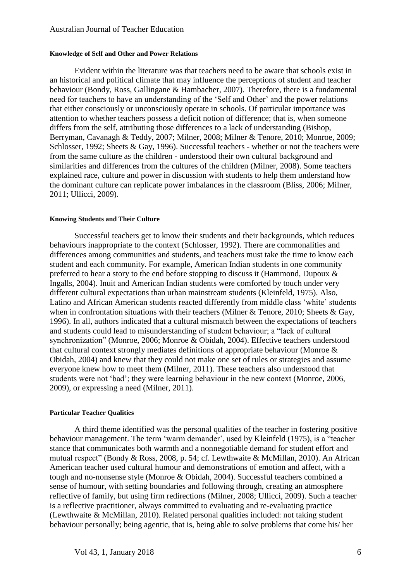#### **Knowledge of Self and Other and Power Relations**

Evident within the literature was that teachers need to be aware that schools exist in an historical and political climate that may influence the perceptions of student and teacher behaviour (Bondy, Ross, Gallingane & Hambacher, 2007). Therefore, there is a fundamental need for teachers to have an understanding of the 'Self and Other' and the power relations that either consciously or unconsciously operate in schools. Of particular importance was attention to whether teachers possess a deficit notion of difference; that is, when someone differs from the self, attributing those differences to a lack of understanding (Bishop, Berryman, Cavanagh & Teddy, 2007; Milner, 2008; Milner & Tenore, 2010; Monroe, 2009; Schlosser, 1992; Sheets & Gay, 1996). Successful teachers - whether or not the teachers were from the same culture as the children - understood their own cultural background and similarities and differences from the cultures of the children (Milner, 2008). Some teachers explained race, culture and power in discussion with students to help them understand how the dominant culture can replicate power imbalances in the classroom (Bliss, 2006; Milner, 2011; Ullicci, 2009).

#### **Knowing Students and Their Culture**

Successful teachers get to know their students and their backgrounds, which reduces behaviours inappropriate to the context (Schlosser, 1992). There are commonalities and differences among communities and students, and teachers must take the time to know each student and each community. For example, American Indian students in one community preferred to hear a story to the end before stopping to discuss it (Hammond, Dupoux & Ingalls, 2004). Inuit and American Indian students were comforted by touch under very different cultural expectations than urban mainstream students (Kleinfeld, 1975). Also, Latino and African American students reacted differently from middle class 'white' students when in confrontation situations with their teachers (Milner & Tenore, 2010; Sheets & Gay, 1996). In all, authors indicated that a cultural mismatch between the expectations of teachers and students could lead to misunderstanding of student behaviour; a "lack of cultural synchronization" (Monroe, 2006; Monroe & Obidah, 2004). Effective teachers understood that cultural context strongly mediates definitions of appropriate behaviour (Monroe & Obidah, 2004) and knew that they could not make one set of rules or strategies and assume everyone knew how to meet them (Milner, 2011). These teachers also understood that students were not 'bad'; they were learning behaviour in the new context (Monroe, 2006, 2009), or expressing a need (Milner, 2011).

#### **Particular Teacher Qualities**

A third theme identified was the personal qualities of the teacher in fostering positive behaviour management. The term 'warm demander', used by Kleinfeld (1975), is a "teacher stance that communicates both warmth and a nonnegotiable demand for student effort and mutual respect" (Bondy & Ross, 2008, p. 54; cf. Lewthwaite & McMillan, 2010). An African American teacher used cultural humour and demonstrations of emotion and affect, with a tough and no-nonsense style (Monroe & Obidah, 2004). Successful teachers combined a sense of humour, with setting boundaries and following through, creating an atmosphere reflective of family, but using firm redirections (Milner, 2008; Ullicci, 2009). Such a teacher is a reflective practitioner, always committed to evaluating and re-evaluating practice (Lewthwaite & McMillan, 2010). Related personal qualities included: not taking student behaviour personally; being agentic, that is, being able to solve problems that come his/ her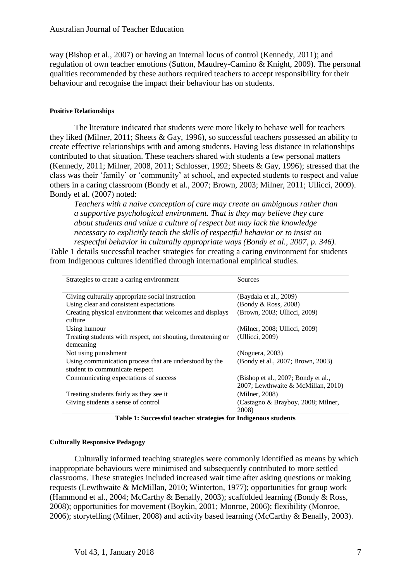way (Bishop et al., 2007) or having an internal locus of control (Kennedy, 2011); and regulation of own teacher emotions (Sutton, Maudrey-Camino & Knight, 2009). The personal qualities recommended by these authors required teachers to accept responsibility for their behaviour and recognise the impact their behaviour has on students.

#### **Positive Relationships**

The literature indicated that students were more likely to behave well for teachers they liked (Milner, 2011; Sheets & Gay, 1996), so successful teachers possessed an ability to create effective relationships with and among students. Having less distance in relationships contributed to that situation. These teachers shared with students a few personal matters (Kennedy, 2011; Milner, 2008, 2011; Schlosser, 1992; Sheets & Gay, 1996); stressed that the class was their 'family' or 'community' at school, and expected students to respect and value others in a caring classroom (Bondy et al., 2007; Brown, 2003; Milner, 2011; Ullicci, 2009). Bondy et al. (2007) noted:

*Teachers with a naive conception of care may create an ambiguous rather than a supportive psychological environment. That is they may believe they care about students and value a culture of respect but may lack the knowledge necessary to explicitly teach the skills of respectful behavior or to insist on respectful behavior in culturally appropriate ways (Bondy et al., 2007, p. 346).* 

Table 1 details successful teacher strategies for creating a caring environment for students from Indigenous cultures identified through international empirical studies.

| Strategies to create a caring environment                                                | Sources                             |
|------------------------------------------------------------------------------------------|-------------------------------------|
| Giving culturally appropriate social instruction                                         | (Baydala et al., 2009)              |
| Using clear and consistent expectations                                                  | (Bondy & Ross, 2008)                |
| Creating physical environment that welcomes and displays<br>culture                      | (Brown, 2003; Ullicci, 2009)        |
| Using humour                                                                             | (Milner, 2008; Ullicci, 2009)       |
| Treating students with respect, not shouting, threatening or                             | (Ullicci, 2009)                     |
| demeaning                                                                                |                                     |
| Not using punishment                                                                     | (Noguera, 2003)                     |
| Using communication process that are understood by the<br>student to communicate respect | (Bondy et al., 2007; Brown, 2003)   |
| Communicating expectations of success                                                    | (Bishop et al., 2007; Bondy et al., |
|                                                                                          | 2007; Lewthwaite & McMillan, 2010)  |
| Treating students fairly as they see it.                                                 | (Milner, 2008)                      |
| Giving students a sense of control                                                       | (Castagno & Brayboy, 2008; Milner,  |
|                                                                                          | 2008)                               |

**Table 1: Successful teacher strategies for Indigenous students**

#### **Culturally Responsive Pedagogy**

Culturally informed teaching strategies were commonly identified as means by which inappropriate behaviours were minimised and subsequently contributed to more settled classrooms. These strategies included increased wait time after asking questions or making requests (Lewthwaite & McMillan, 2010; Winterton, 1977); opportunities for group work (Hammond et al., 2004; McCarthy & Benally, 2003); scaffolded learning (Bondy & Ross, 2008); opportunities for movement (Boykin, 2001; Monroe, 2006); flexibility (Monroe, 2006); storytelling (Milner, 2008) and activity based learning (McCarthy & Benally, 2003).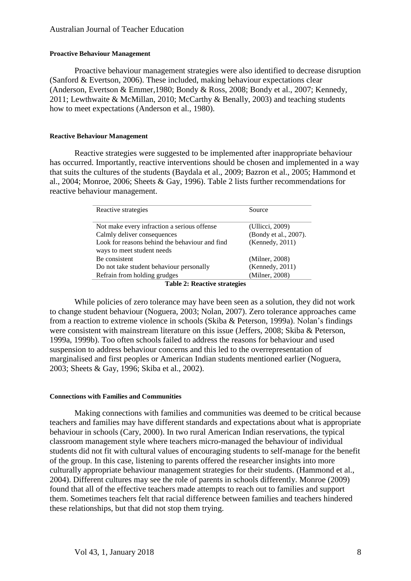## **Proactive Behaviour Management**

Proactive behaviour management strategies were also identified to decrease disruption (Sanford & Evertson, 2006). These included, making behaviour expectations clear (Anderson, Evertson & Emmer,1980; Bondy & Ross, 2008; Bondy et al., 2007; Kennedy, 2011; Lewthwaite & McMillan, 2010; McCarthy & Benally, 2003) and teaching students how to meet expectations (Anderson et al., 1980).

#### **Reactive Behaviour Management**

Reactive strategies were suggested to be implemented after inappropriate behaviour has occurred. Importantly, reactive interventions should be chosen and implemented in a way that suits the cultures of the students (Baydala et al., 2009; Bazron et al., 2005; Hammond et al., 2004; Monroe, 2006; Sheets & Gay, 1996). Table 2 lists further recommendations for reactive behaviour management.

| Reactive strategies                            | Source                |  |
|------------------------------------------------|-----------------------|--|
| Not make every infraction a serious offense    | (Ullicci, 2009)       |  |
| Calmly deliver consequences                    | (Bondy et al., 2007). |  |
| Look for reasons behind the behaviour and find | (Kennedy, 2011)       |  |
| ways to meet student needs                     |                       |  |
| Be consistent                                  | (Milner, 2008)        |  |
| Do not take student behaviour personally       | (Kennedy, 2011)       |  |
| Refrain from holding grudges                   | (Milner, 2008)        |  |
| <b>Table 2: Reactive strategies</b>            |                       |  |

While policies of zero tolerance may have been seen as a solution, they did not work to change student behaviour (Noguera, 2003; Nolan, 2007). Zero tolerance approaches came from a reaction to extreme violence in schools (Skiba & Peterson, 1999a). Nolan's findings were consistent with mainstream literature on this issue (Jeffers, 2008; Skiba & Peterson, 1999a, 1999b). Too often schools failed to address the reasons for behaviour and used suspension to address behaviour concerns and this led to the overrepresentation of marginalised and first peoples or American Indian students mentioned earlier (Noguera, 2003; Sheets & Gay, 1996; Skiba et al., 2002).

#### **Connections with Families and Communities**

Making connections with families and communities was deemed to be critical because teachers and families may have different standards and expectations about what is appropriate behaviour in schools (Cary, 2000). In two rural American Indian reservations, the typical classroom management style where teachers micro-managed the behaviour of individual students did not fit with cultural values of encouraging students to self-manage for the benefit of the group. In this case, listening to parents offered the researcher insights into more culturally appropriate behaviour management strategies for their students. (Hammond et al., 2004). Different cultures may see the role of parents in schools differently. Monroe (2009) found that all of the effective teachers made attempts to reach out to families and support them. Sometimes teachers felt that racial difference between families and teachers hindered these relationships, but that did not stop them trying.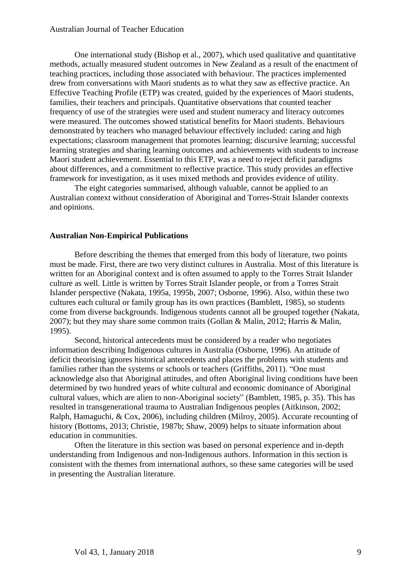One international study (Bishop et al., 2007), which used qualitative and quantitative methods, actually measured student outcomes in New Zealand as a result of the enactment of teaching practices, including those associated with behaviour. The practices implemented drew from conversations with Maori students as to what they saw as effective practice. An Effective Teaching Profile (ETP) was created, guided by the experiences of Maori students, families, their teachers and principals. Quantitative observations that counted teacher frequency of use of the strategies were used and student numeracy and literacy outcomes were measured. The outcomes showed statistical benefits for Maori students. Behaviours demonstrated by teachers who managed behaviour effectively included: caring and high expectations; classroom management that promotes learning; discursive learning; successful learning strategies and sharing learning outcomes and achievements with students to increase Maori student achievement. Essential to this ETP, was a need to reject deficit paradigms about differences, and a commitment to reflective practice. This study provides an effective framework for investigation, as it uses mixed methods and provides evidence of utility.

The eight categories summarised, although valuable, cannot be applied to an Australian context without consideration of Aboriginal and Torres-Strait Islander contexts and opinions.

#### **Australian Non-Empirical Publications**

Before describing the themes that emerged from this body of literature, two points must be made. First, there are two very distinct cultures in Australia. Most of this literature is written for an Aboriginal context and is often assumed to apply to the Torres Strait Islander culture as well. Little is written by Torres Strait Islander people, or from a Torres Strait Islander perspective (Nakata, 1995a, 1995b, 2007; Osborne, 1996). Also, within these two cultures each cultural or family group has its own practices (Bamblett, 1985), so students come from diverse backgrounds. Indigenous students cannot all be grouped together (Nakata, 2007); but they may share some common traits (Gollan & Malin, 2012; Harris & Malin, 1995).

Second, historical antecedents must be considered by a reader who negotiates information describing Indigenous cultures in Australia (Osborne, 1996). An attitude of deficit theorising ignores historical antecedents and places the problems with students and families rather than the systems or schools or teachers (Griffiths, 2011). "One must acknowledge also that Aboriginal attitudes, and often Aboriginal living conditions have been determined by two hundred years of white cultural and economic dominance of Aboriginal cultural values, which are alien to non-Aboriginal society" (Bamblett, 1985, p. 35). This has resulted in transgenerational trauma to Australian Indigenous peoples (Aitkinson, 2002; Ralph, Hamaguchi, & Cox, 2006), including children (Milroy, 2005). Accurate recounting of history (Bottoms, 2013; Christie, 1987b; Shaw, 2009) helps to situate information about education in communities.

Often the literature in this section was based on personal experience and in-depth understanding from Indigenous and non-Indigenous authors. Information in this section is consistent with the themes from international authors, so these same categories will be used in presenting the Australian literature.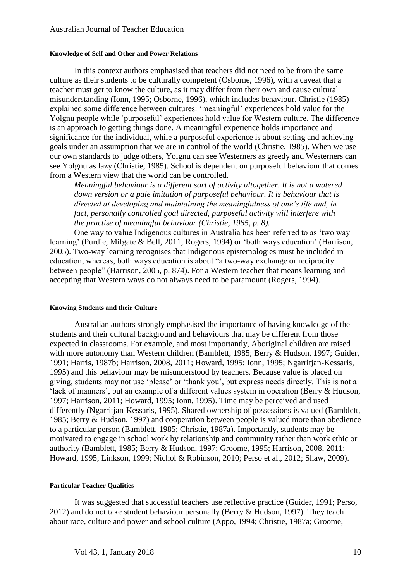#### **Knowledge of Self and Other and Power Relations**

In this context authors emphasised that teachers did not need to be from the same culture as their students to be culturally competent (Osborne, 1996), with a caveat that a teacher must get to know the culture, as it may differ from their own and cause cultural misunderstanding (Ionn, 1995; Osborne, 1996), which includes behaviour. Christie (1985) explained some difference between cultures: 'meaningful' experiences hold value for the Yolgnu people while 'purposeful' experiences hold value for Western culture. The difference is an approach to getting things done. A meaningful experience holds importance and significance for the individual, while a purposeful experience is about setting and achieving goals under an assumption that we are in control of the world (Christie, 1985). When we use our own standards to judge others, Yolgnu can see Westerners as greedy and Westerners can see Yolgnu as lazy (Christie, 1985). School is dependent on purposeful behaviour that comes from a Western view that the world can be controlled.

*Meaningful behaviour is a different sort of activity altogether. It is not a watered down version or a pale imitation of purposeful behaviour. It is behaviour that is directed at developing and maintaining the meaningfulness of one's life and, in fact, personally controlled goal directed, purposeful activity will interfere with the practise of meaningful behaviour (Christie, 1985, p. 8).* 

One way to value Indigenous cultures in Australia has been referred to as 'two way learning' (Purdie, Milgate & Bell, 2011; Rogers, 1994) or 'both ways education' (Harrison, 2005). Two-way learning recognises that Indigenous epistemologies must be included in education, whereas, both ways education is about "a two-way exchange or reciprocity between people" (Harrison, 2005, p. 874). For a Western teacher that means learning and accepting that Western ways do not always need to be paramount (Rogers, 1994).

#### **Knowing Students and their Culture**

Australian authors strongly emphasised the importance of having knowledge of the students and their cultural background and behaviours that may be different from those expected in classrooms. For example, and most importantly, Aboriginal children are raised with more autonomy than Western children (Bamblett, 1985; Berry & Hudson, 1997; Guider, 1991; Harris, 1987b; Harrison, 2008, 2011; Howard, 1995; Ionn, 1995; Ngarritjan-Kessaris, 1995) and this behaviour may be misunderstood by teachers. Because value is placed on giving, students may not use 'please' or 'thank you', but express needs directly. This is not a 'lack of manners', but an example of a different values system in operation (Berry & Hudson, 1997; Harrison, 2011; Howard, 1995; Ionn, 1995). Time may be perceived and used differently (Ngarritjan-Kessaris, 1995). Shared ownership of possessions is valued (Bamblett, 1985; Berry & Hudson, 1997) and cooperation between people is valued more than obedience to a particular person (Bamblett, 1985; Christie, 1987a). Importantly, students may be motivated to engage in school work by relationship and community rather than work ethic or authority (Bamblett, 1985; Berry & Hudson, 1997; Groome, 1995; Harrison, 2008, 2011; Howard, 1995; Linkson, 1999; Nichol & Robinson, 2010; Perso et al., 2012; Shaw, 2009).

#### **Particular Teacher Qualities**

It was suggested that successful teachers use reflective practice (Guider, 1991; Perso, 2012) and do not take student behaviour personally (Berry & Hudson, 1997). They teach about race, culture and power and school culture (Appo, 1994; Christie, 1987a; Groome,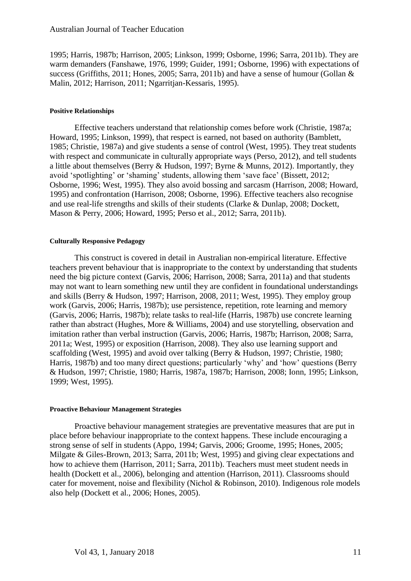1995; Harris, 1987b; Harrison, 2005; Linkson, 1999; Osborne, 1996; Sarra, 2011b). They are warm demanders (Fanshawe, 1976, 1999; Guider, 1991; Osborne, 1996) with expectations of success (Griffiths, 2011; Hones, 2005; Sarra, 2011b) and have a sense of humour (Gollan & Malin, 2012; Harrison, 2011; Ngarritjan-Kessaris, 1995).

#### **Positive Relationships**

Effective teachers understand that relationship comes before work (Christie, 1987a; Howard, 1995; Linkson, 1999), that respect is earned, not based on authority (Bamblett, 1985; Christie, 1987a) and give students a sense of control (West, 1995). They treat students with respect and communicate in culturally appropriate ways (Perso, 2012), and tell students a little about themselves (Berry & Hudson, 1997; Byrne & Munns, 2012). Importantly, they avoid 'spotlighting' or 'shaming' students, allowing them 'save face' (Bissett, 2012; Osborne, 1996; West, 1995). They also avoid bossing and sarcasm (Harrison, 2008; Howard, 1995) and confrontation (Harrison, 2008; Osborne, 1996). Effective teachers also recognise and use real-life strengths and skills of their students (Clarke & Dunlap, 2008; Dockett, Mason & Perry, 2006; Howard, 1995; Perso et al., 2012; Sarra, 2011b).

## **Culturally Responsive Pedagogy**

This construct is covered in detail in Australian non-empirical literature. Effective teachers prevent behaviour that is inappropriate to the context by understanding that students need the big picture context (Garvis, 2006; Harrison, 2008; Sarra, 2011a) and that students may not want to learn something new until they are confident in foundational understandings and skills (Berry & Hudson, 1997; Harrison, 2008, 2011; West, 1995). They employ group work (Garvis, 2006; Harris, 1987b); use persistence, repetition, rote learning and memory (Garvis, 2006; Harris, 1987b); relate tasks to real-life (Harris, 1987b) use concrete learning rather than abstract (Hughes, More & Williams, 2004) and use storytelling, observation and imitation rather than verbal instruction (Garvis, 2006; Harris, 1987b; Harrison, 2008; Sarra, 2011a; West, 1995) or exposition (Harrison, 2008). They also use learning support and scaffolding (West, 1995) and avoid over talking (Berry & Hudson, 1997; Christie, 1980; Harris, 1987b) and too many direct questions; particularly 'why' and 'how' questions (Berry & Hudson, 1997; Christie, 1980; Harris, 1987a, 1987b; Harrison, 2008; Ionn, 1995; Linkson, 1999; West, 1995).

#### **Proactive Behaviour Management Strategies**

Proactive behaviour management strategies are preventative measures that are put in place before behaviour inappropriate to the context happens. These include encouraging a strong sense of self in students (Appo, 1994; Garvis, 2006; Groome, 1995; Hones, 2005; Milgate & Giles-Brown, 2013; Sarra, 2011b; West, 1995) and giving clear expectations and how to achieve them (Harrison, 2011; Sarra, 2011b). Teachers must meet student needs in health (Dockett et al., 2006), belonging and attention (Harrison, 2011). Classrooms should cater for movement, noise and flexibility (Nichol & Robinson, 2010). Indigenous role models also help (Dockett et al., 2006; Hones, 2005).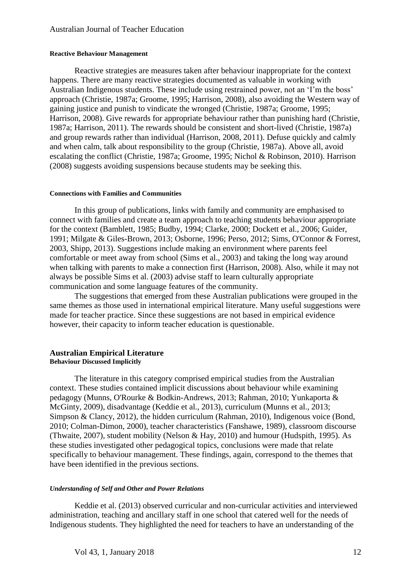#### **Reactive Behaviour Management**

Reactive strategies are measures taken after behaviour inappropriate for the context happens. There are many reactive strategies documented as valuable in working with Australian Indigenous students. These include using restrained power, not an 'I'm the boss' approach (Christie, 1987a; Groome, 1995; Harrison, 2008), also avoiding the Western way of gaining justice and punish to vindicate the wronged (Christie, 1987a; Groome, 1995; Harrison, 2008). Give rewards for appropriate behaviour rather than punishing hard (Christie, 1987a; Harrison, 2011). The rewards should be consistent and short-lived (Christie, 1987a) and group rewards rather than individual (Harrison, 2008, 2011). Defuse quickly and calmly and when calm, talk about responsibility to the group (Christie, 1987a). Above all, avoid escalating the conflict (Christie, 1987a; Groome, 1995; Nichol & Robinson, 2010). Harrison (2008) suggests avoiding suspensions because students may be seeking this.

#### **Connections with Families and Communities**

In this group of publications, links with family and community are emphasised to connect with families and create a team approach to teaching students behaviour appropriate for the context (Bamblett, 1985; Budby, 1994; Clarke, 2000; Dockett et al., 2006; Guider, 1991; Milgate & Giles-Brown, 2013; Osborne, 1996; Perso, 2012; Sims, O'Connor & Forrest, 2003, Shipp, 2013). Suggestions include making an environment where parents feel comfortable or meet away from school (Sims et al., 2003) and taking the long way around when talking with parents to make a connection first (Harrison, 2008). Also, while it may not always be possible Sims et al. (2003) advise staff to learn culturally appropriate communication and some language features of the community.

The suggestions that emerged from these Australian publications were grouped in the same themes as those used in international empirical literature. Many useful suggestions were made for teacher practice. Since these suggestions are not based in empirical evidence however, their capacity to inform teacher education is questionable.

#### **Australian Empirical Literature Behaviour Discussed Implicitly**

The literature in this category comprised empirical studies from the Australian context. These studies contained implicit discussions about behaviour while examining pedagogy (Munns, O'Rourke & Bodkin-Andrews, 2013; Rahman, 2010; Yunkaporta & McGinty, 2009), disadvantage (Keddie et al., 2013), curriculum (Munns et al., 2013; Simpson & Clancy, 2012), the hidden curriculum (Rahman, 2010), Indigenous voice (Bond, 2010; Colman-Dimon, 2000), teacher characteristics (Fanshawe, 1989), classroom discourse (Thwaite, 2007), student mobility (Nelson & Hay, 2010) and humour (Hudspith, 1995). As these studies investigated other pedagogical topics, conclusions were made that relate specifically to behaviour management. These findings, again, correspond to the themes that have been identified in the previous sections.

## *Understanding of Self and Other and Power Relations*

Keddie et al. (2013) observed curricular and non-curricular activities and interviewed administration, teaching and ancillary staff in one school that catered well for the needs of Indigenous students. They highlighted the need for teachers to have an understanding of the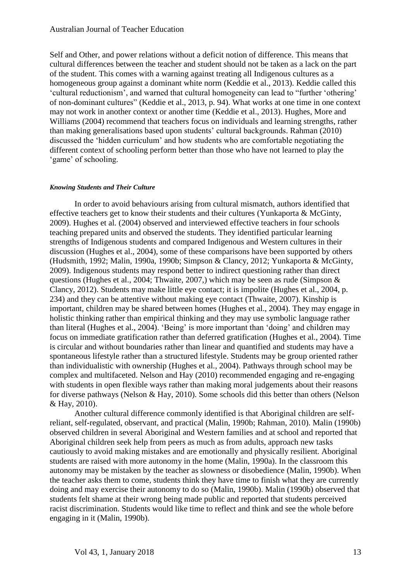### Australian Journal of Teacher Education

Self and Other, and power relations without a deficit notion of difference. This means that cultural differences between the teacher and student should not be taken as a lack on the part of the student. This comes with a warning against treating all Indigenous cultures as a homogeneous group against a dominant white norm (Keddie et al., 2013). Keddie called this 'cultural reductionism', and warned that cultural homogeneity can lead to "further 'othering' of non-dominant cultures" (Keddie et al., 2013, p. 94). What works at one time in one context may not work in another context or another time (Keddie et al., 2013). Hughes, More and Williams (2004) recommend that teachers focus on individuals and learning strengths, rather than making generalisations based upon students' cultural backgrounds. Rahman (2010) discussed the 'hidden curriculum' and how students who are comfortable negotiating the different context of schooling perform better than those who have not learned to play the 'game' of schooling.

#### *Knowing Students and Their Culture*

In order to avoid behaviours arising from cultural mismatch, authors identified that effective teachers get to know their students and their cultures (Yunkaporta  $\&$  McGinty, 2009). Hughes et al. (2004) observed and interviewed effective teachers in four schools teaching prepared units and observed the students. They identified particular learning strengths of Indigenous students and compared Indigenous and Western cultures in their discussion (Hughes et al., 2004), some of these comparisons have been supported by others (Hudsmith, 1992; Malin, 1990a, 1990b; Simpson & Clancy, 2012; Yunkaporta & McGinty, 2009). Indigenous students may respond better to indirect questioning rather than direct questions (Hughes et al., 2004; Thwaite, 2007,) which may be seen as rude (Simpson & Clancy, 2012). Students may make little eye contact; it is impolite (Hughes et al., 2004, p. 234) and they can be attentive without making eye contact (Thwaite, 2007). Kinship is important, children may be shared between homes (Hughes et al., 2004). They may engage in holistic thinking rather than empirical thinking and they may use symbolic language rather than literal (Hughes et al., 2004). 'Being' is more important than 'doing' and children may focus on immediate gratification rather than deferred gratification (Hughes et al., 2004). Time is circular and without boundaries rather than linear and quantified and students may have a spontaneous lifestyle rather than a structured lifestyle. Students may be group oriented rather than individualistic with ownership (Hughes et al., 2004). Pathways through school may be complex and multifaceted. Nelson and Hay (2010) recommended engaging and re-engaging with students in open flexible ways rather than making moral judgements about their reasons for diverse pathways (Nelson & Hay, 2010). Some schools did this better than others (Nelson & Hay, 2010).

Another cultural difference commonly identified is that Aboriginal children are selfreliant, self-regulated, observant, and practical (Malin, 1990b; Rahman, 2010). Malin (1990b) observed children in several Aboriginal and Western families and at school and reported that Aboriginal children seek help from peers as much as from adults, approach new tasks cautiously to avoid making mistakes and are emotionally and physically resilient. Aboriginal students are raised with more autonomy in the home (Malin, 1990a). In the classroom this autonomy may be mistaken by the teacher as slowness or disobedience (Malin, 1990b). When the teacher asks them to come, students think they have time to finish what they are currently doing and may exercise their autonomy to do so (Malin, 1990b). Malin (1990b) observed that students felt shame at their wrong being made public and reported that students perceived racist discrimination. Students would like time to reflect and think and see the whole before engaging in it (Malin, 1990b).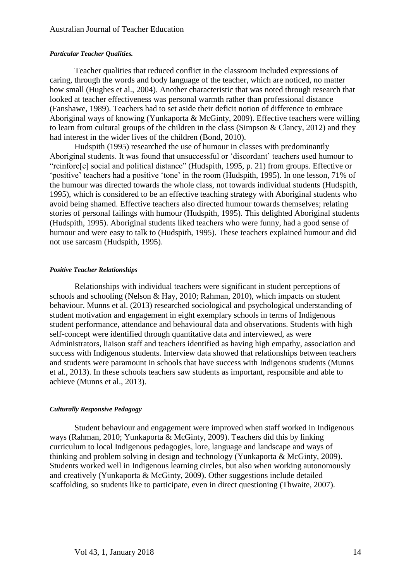#### *Particular Teacher Qualities.*

Teacher qualities that reduced conflict in the classroom included expressions of caring, through the words and body language of the teacher, which are noticed, no matter how small (Hughes et al., 2004). Another characteristic that was noted through research that looked at teacher effectiveness was personal warmth rather than professional distance (Fanshawe, 1989). Teachers had to set aside their deficit notion of difference to embrace Aboriginal ways of knowing (Yunkaporta & McGinty, 2009). Effective teachers were willing to learn from cultural groups of the children in the class (Simpson & Clancy, 2012) and they had interest in the wider lives of the children (Bond, 2010).

Hudspith (1995) researched the use of humour in classes with predominantly Aboriginal students. It was found that unsuccessful or 'discordant' teachers used humour to "reinforc[e] social and political distance" (Hudspith, 1995, p. 21) from groups. Effective or 'positive' teachers had a positive 'tone' in the room (Hudspith, 1995). In one lesson, 71% of the humour was directed towards the whole class, not towards individual students (Hudspith, 1995), which is considered to be an effective teaching strategy with Aboriginal students who avoid being shamed. Effective teachers also directed humour towards themselves; relating stories of personal failings with humour (Hudspith, 1995). This delighted Aboriginal students (Hudspith, 1995). Aboriginal students liked teachers who were funny, had a good sense of humour and were easy to talk to (Hudspith, 1995). These teachers explained humour and did not use sarcasm (Hudspith, 1995).

#### *Positive Teacher Relationships*

Relationships with individual teachers were significant in student perceptions of schools and schooling (Nelson & Hay, 2010; Rahman, 2010), which impacts on student behaviour. Munns et al. (2013) researched sociological and psychological understanding of student motivation and engagement in eight exemplary schools in terms of Indigenous student performance, attendance and behavioural data and observations. Students with high self-concept were identified through quantitative data and interviewed, as were Administrators, liaison staff and teachers identified as having high empathy, association and success with Indigenous students. Interview data showed that relationships between teachers and students were paramount in schools that have success with Indigenous students (Munns et al., 2013). In these schools teachers saw students as important, responsible and able to achieve (Munns et al., 2013).

#### *Culturally Responsive Pedagogy*

Student behaviour and engagement were improved when staff worked in Indigenous ways (Rahman, 2010; Yunkaporta & McGinty, 2009). Teachers did this by linking curriculum to local Indigenous pedagogies, lore, language and landscape and ways of thinking and problem solving in design and technology (Yunkaporta & McGinty, 2009). Students worked well in Indigenous learning circles, but also when working autonomously and creatively (Yunkaporta & McGinty, 2009). Other suggestions include detailed scaffolding, so students like to participate, even in direct questioning (Thwaite, 2007).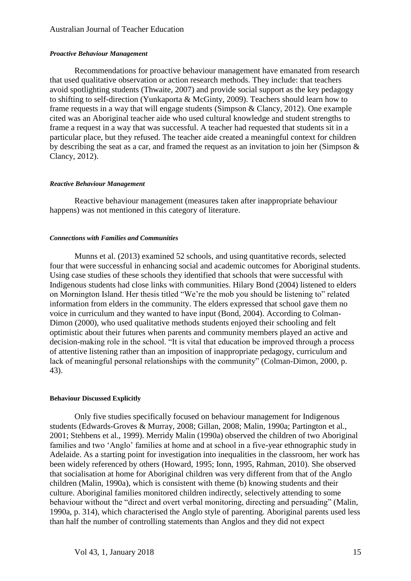## Australian Journal of Teacher Education

#### *Proactive Behaviour Management*

Recommendations for proactive behaviour management have emanated from research that used qualitative observation or action research methods. They include: that teachers avoid spotlighting students (Thwaite, 2007) and provide social support as the key pedagogy to shifting to self-direction (Yunkaporta & McGinty, 2009). Teachers should learn how to frame requests in a way that will engage students (Simpson & Clancy, 2012). One example cited was an Aboriginal teacher aide who used cultural knowledge and student strengths to frame a request in a way that was successful. A teacher had requested that students sit in a particular place, but they refused. The teacher aide created a meaningful context for children by describing the seat as a car, and framed the request as an invitation to join her (Simpson & Clancy, 2012).

#### *Reactive Behaviour Management*

Reactive behaviour management (measures taken after inappropriate behaviour happens) was not mentioned in this category of literature.

#### *Connections with Families and Communities*

Munns et al. (2013) examined 52 schools, and using quantitative records, selected four that were successful in enhancing social and academic outcomes for Aboriginal students. Using case studies of these schools they identified that schools that were successful with Indigenous students had close links with communities. Hilary Bond (2004) listened to elders on Mornington Island. Her thesis titled "We're the mob you should be listening to" related information from elders in the community. The elders expressed that school gave them no voice in curriculum and they wanted to have input (Bond, 2004). According to Colman-Dimon (2000), who used qualitative methods students enjoyed their schooling and felt optimistic about their futures when parents and community members played an active and decision-making role in the school. "It is vital that education be improved through a process of attentive listening rather than an imposition of inappropriate pedagogy, curriculum and lack of meaningful personal relationships with the community" (Colman-Dimon, 2000, p. 43).

#### **Behaviour Discussed Explicitly**

Only five studies specifically focused on behaviour management for Indigenous students (Edwards-Groves & Murray, 2008; Gillan, 2008; Malin, 1990a; Partington et al., 2001; Stehbens et al., 1999). Merridy Malin (1990a) observed the children of two Aboriginal families and two 'Anglo' families at home and at school in a five-year ethnographic study in Adelaide. As a starting point for investigation into inequalities in the classroom, her work has been widely referenced by others (Howard, 1995; Ionn, 1995, Rahman, 2010). She observed that socialisation at home for Aboriginal children was very different from that of the Anglo children (Malin, 1990a), which is consistent with theme (b) knowing students and their culture. Aboriginal families monitored children indirectly, selectively attending to some behaviour without the "direct and overt verbal monitoring, directing and persuading" (Malin, 1990a, p. 314), which characterised the Anglo style of parenting. Aboriginal parents used less than half the number of controlling statements than Anglos and they did not expect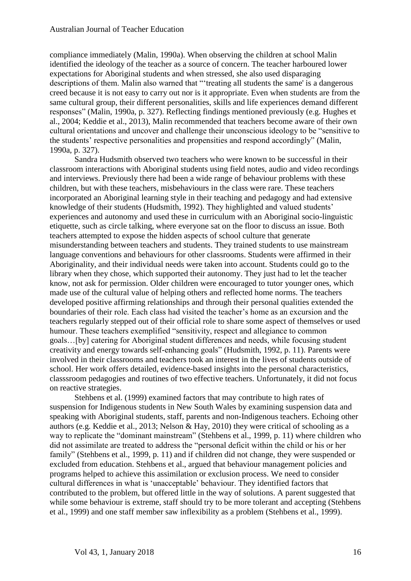compliance immediately (Malin, 1990a). When observing the children at school Malin identified the ideology of the teacher as a source of concern. The teacher harboured lower expectations for Aboriginal students and when stressed, she also used disparaging descriptions of them. Malin also warned that "'treating all students the same' is a dangerous creed because it is not easy to carry out nor is it appropriate. Even when students are from the same cultural group, their different personalities, skills and life experiences demand different responses" (Malin, 1990a, p. 327). Reflecting findings mentioned previously (e.g. Hughes et al., 2004; Keddie et al., 2013), Malin recommended that teachers become aware of their own cultural orientations and uncover and challenge their unconscious ideology to be "sensitive to the students' respective personalities and propensities and respond accordingly" (Malin, 1990a, p. 327).

Sandra Hudsmith observed two teachers who were known to be successful in their classroom interactions with Aboriginal students using field notes, audio and video recordings and interviews. Previously there had been a wide range of behaviour problems with these children, but with these teachers, misbehaviours in the class were rare. These teachers incorporated an Aboriginal learning style in their teaching and pedagogy and had extensive knowledge of their students (Hudsmith, 1992). They highlighted and valued students' experiences and autonomy and used these in curriculum with an Aboriginal socio-linguistic etiquette, such as circle talking, where everyone sat on the floor to discuss an issue. Both teachers attempted to expose the hidden aspects of school culture that generate misunderstanding between teachers and students. They trained students to use mainstream language conventions and behaviours for other classrooms. Students were affirmed in their Aboriginality, and their individual needs were taken into account. Students could go to the library when they chose, which supported their autonomy. They just had to let the teacher know, not ask for permission. Older children were encouraged to tutor younger ones, which made use of the cultural value of helping others and reflected home norms. The teachers developed positive affirming relationships and through their personal qualities extended the boundaries of their role. Each class had visited the teacher's home as an excursion and the teachers regularly stepped out of their official role to share some aspect of themselves or used humour. These teachers exemplified "sensitivity, respect and allegiance to common goals…[by] catering for Aboriginal student differences and needs, while focusing student creativity and energy towards self-enhancing goals" (Hudsmith, 1992, p. 11). Parents were involved in their classrooms and teachers took an interest in the lives of students outside of school. Her work offers detailed, evidence-based insights into the personal characteristics, classsroom pedagogies and routines of two effective teachers. Unfortunately, it did not focus on reactive strategies.

Stehbens et al. (1999) examined factors that may contribute to high rates of suspension for Indigenous students in New South Wales by examining suspension data and speaking with Aboriginal students, staff, parents and non-Indigenous teachers. Echoing other authors (e.g. Keddie et al., 2013; Nelson & Hay, 2010) they were critical of schooling as a way to replicate the "dominant mainstream" (Stehbens et al., 1999, p. 11) where children who did not assimilate are treated to address the "personal deficit within the child or his or her family" (Stehbens et al., 1999, p. 11) and if children did not change, they were suspended or excluded from education. Stehbens et al., argued that behaviour management policies and programs helped to achieve this assimilation or exclusion process. We need to consider cultural differences in what is 'unacceptable' behaviour. They identified factors that contributed to the problem, but offered little in the way of solutions. A parent suggested that while some behaviour is extreme, staff should try to be more tolerant and accepting (Stehbens et al., 1999) and one staff member saw inflexibility as a problem (Stehbens et al., 1999).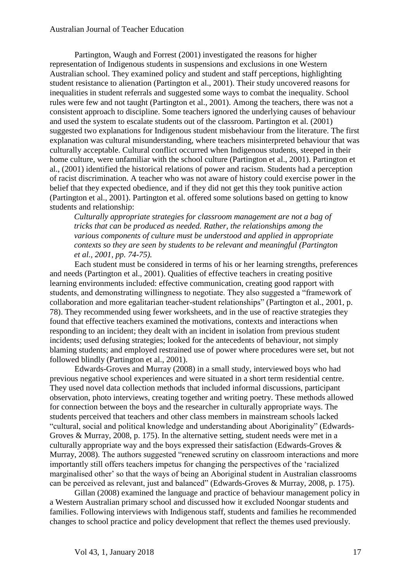Partington, Waugh and Forrest (2001) investigated the reasons for higher representation of Indigenous students in suspensions and exclusions in one Western Australian school. They examined policy and student and staff perceptions, highlighting student resistance to alienation (Partington et al., 2001). Their study uncovered reasons for inequalities in student referrals and suggested some ways to combat the inequality. School rules were few and not taught (Partington et al., 2001). Among the teachers, there was not a consistent approach to discipline. Some teachers ignored the underlying causes of behaviour and used the system to escalate students out of the classroom. Partington et al. (2001) suggested two explanations for Indigenous student misbehaviour from the literature. The first explanation was cultural misunderstanding, where teachers misinterpreted behaviour that was culturally acceptable. Cultural conflict occurred when Indigenous students, steeped in their home culture, were unfamiliar with the school culture (Partington et al., 2001). Partington et al., (2001) identified the historical relations of power and racism. Students had a perception of racist discrimination. A teacher who was not aware of history could exercise power in the belief that they expected obedience, and if they did not get this they took punitive action (Partington et al., 2001). Partington et al. offered some solutions based on getting to know students and relationship:

*Culturally appropriate strategies for classroom management are not a bag of tricks that can be produced as needed. Rather, the relationships among the various components of culture must be understood and applied in appropriate contexts so they are seen by students to be relevant and meaningful (Partington et al., 2001, pp. 74-75).* 

Each student must be considered in terms of his or her learning strengths, preferences and needs (Partington et al., 2001). Qualities of effective teachers in creating positive learning environments included: effective communication, creating good rapport with students, and demonstrating willingness to negotiate. They also suggested a "framework of collaboration and more egalitarian teacher-student relationships" (Partington et al., 2001, p. 78). They recommended using fewer worksheets, and in the use of reactive strategies they found that effective teachers examined the motivations, contexts and interactions when responding to an incident; they dealt with an incident in isolation from previous student incidents; used defusing strategies; looked for the antecedents of behaviour, not simply blaming students; and employed restrained use of power where procedures were set, but not followed blindly (Partington et al., 2001).

Edwards-Groves and Murray (2008) in a small study, interviewed boys who had previous negative school experiences and were situated in a short term residential centre. They used novel data collection methods that included informal discussions, participant observation, photo interviews, creating together and writing poetry. These methods allowed for connection between the boys and the researcher in culturally appropriate ways. The students perceived that teachers and other class members in mainstream schools lacked "cultural, social and political knowledge and understanding about Aboriginality" (Edwards-Groves & Murray, 2008, p. 175). In the alternative setting, student needs were met in a culturally appropriate way and the boys expressed their satisfaction (Edwards-Groves & Murray, 2008). The authors suggested "renewed scrutiny on classroom interactions and more importantly still offers teachers impetus for changing the perspectives of the 'racialized marginalised other' so that the ways of being an Aboriginal student in Australian classrooms can be perceived as relevant, just and balanced" (Edwards-Groves & Murray, 2008, p. 175).

Gillan (2008) examined the language and practice of behaviour management policy in a Western Australian primary school and discussed how it excluded Noongar students and families. Following interviews with Indigenous staff, students and families he recommended changes to school practice and policy development that reflect the themes used previously.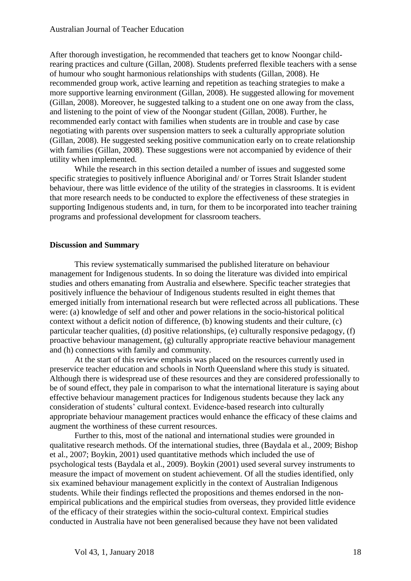After thorough investigation, he recommended that teachers get to know Noongar childrearing practices and culture (Gillan, 2008). Students preferred flexible teachers with a sense of humour who sought harmonious relationships with students (Gillan, 2008). He recommended group work, active learning and repetition as teaching strategies to make a more supportive learning environment (Gillan, 2008). He suggested allowing for movement (Gillan, 2008). Moreover, he suggested talking to a student one on one away from the class, and listening to the point of view of the Noongar student (Gillan, 2008). Further, he recommended early contact with families when students are in trouble and case by case negotiating with parents over suspension matters to seek a culturally appropriate solution (Gillan, 2008). He suggested seeking positive communication early on to create relationship with families (Gillan, 2008). These suggestions were not accompanied by evidence of their utility when implemented.

While the research in this section detailed a number of issues and suggested some specific strategies to positively influence Aboriginal and/ or Torres Strait Islander student behaviour, there was little evidence of the utility of the strategies in classrooms. It is evident that more research needs to be conducted to explore the effectiveness of these strategies in supporting Indigenous students and, in turn, for them to be incorporated into teacher training programs and professional development for classroom teachers.

## **Discussion and Summary**

This review systematically summarised the published literature on behaviour management for Indigenous students. In so doing the literature was divided into empirical studies and others emanating from Australia and elsewhere. Specific teacher strategies that positively influence the behaviour of Indigenous students resulted in eight themes that emerged initially from international research but were reflected across all publications. These were: (a) knowledge of self and other and power relations in the socio-historical political context without a deficit notion of difference, (b) knowing students and their culture, (c) particular teacher qualities, (d) positive relationships, (e) culturally responsive pedagogy, (f) proactive behaviour management, (g) culturally appropriate reactive behaviour management and (h) connections with family and community.

At the start of this review emphasis was placed on the resources currently used in preservice teacher education and schools in North Queensland where this study is situated. Although there is widespread use of these resources and they are considered professionally to be of sound effect, they pale in comparison to what the international literature is saying about effective behaviour management practices for Indigenous students because they lack any consideration of students' cultural context. Evidence-based research into culturally appropriate behaviour management practices would enhance the efficacy of these claims and augment the worthiness of these current resources.

Further to this, most of the national and international studies were grounded in qualitative research methods. Of the international studies, three (Baydala et al., 2009; Bishop et al., 2007; Boykin, 2001) used quantitative methods which included the use of psychological tests (Baydala et al., 2009). Boykin (2001) used several survey instruments to measure the impact of movement on student achievement. Of all the studies identified, only six examined behaviour management explicitly in the context of Australian Indigenous students. While their findings reflected the propositions and themes endorsed in the nonempirical publications and the empirical studies from overseas, they provided little evidence of the efficacy of their strategies within the socio-cultural context. Empirical studies conducted in Australia have not been generalised because they have not been validated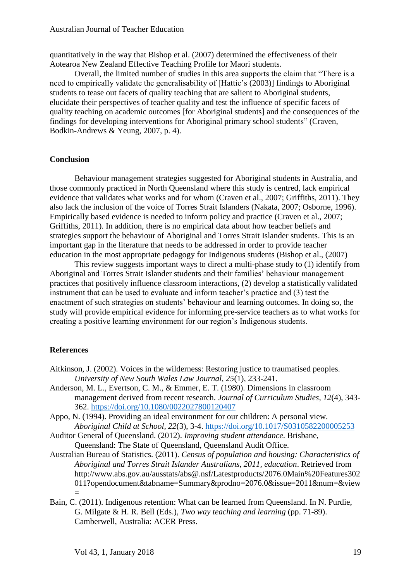quantitatively in the way that Bishop et al. (2007) determined the effectiveness of their Aotearoa New Zealand Effective Teaching Profile for Maori students.

Overall, the limited number of studies in this area supports the claim that "There is a need to empirically validate the generalisability of [Hattie's (2003)] findings to Aboriginal students to tease out facets of quality teaching that are salient to Aboriginal students, elucidate their perspectives of teacher quality and test the influence of specific facets of quality teaching on academic outcomes [for Aboriginal students] and the consequences of the findings for developing interventions for Aboriginal primary school students" (Craven, Bodkin-Andrews & Yeung, 2007, p. 4).

## **Conclusion**

Behaviour management strategies suggested for Aboriginal students in Australia, and those commonly practiced in North Queensland where this study is centred, lack empirical evidence that validates what works and for whom (Craven et al., 2007; Griffiths, 2011). They also lack the inclusion of the voice of Torres Strait Islanders (Nakata, 2007; Osborne, 1996). Empirically based evidence is needed to inform policy and practice (Craven et al., 2007; Griffiths, 2011). In addition, there is no empirical data about how teacher beliefs and strategies support the behaviour of Aboriginal and Torres Strait Islander students. This is an important gap in the literature that needs to be addressed in order to provide teacher education in the most appropriate pedagogy for Indigenous students (Bishop et al., (2007)

This review suggests important ways to direct a multi-phase study to (1) identify from Aboriginal and Torres Strait Islander students and their families' behaviour management practices that positively influence classroom interactions, (2) develop a statistically validated instrument that can be used to evaluate and inform teacher's practice and (3) test the enactment of such strategies on students' behaviour and learning outcomes. In doing so, the study will provide empirical evidence for informing pre-service teachers as to what works for creating a positive learning environment for our region's Indigenous students.

#### **References**

- Aitkinson, J. (2002). Voices in the wilderness: Restoring justice to traumatised peoples. *University of New South Wales Law Journal, 25*(1), 233-241.
- Anderson, M. L., Evertson, C. M., & Emmer, E. T. (1980). Dimensions in classroom management derived from recent research. *Journal of Curriculum Studies, 12*(4), 343- 362.<https://doi.org/10.1080/0022027800120407>
- Appo, N. (1994). Providing an ideal environment for our children: A personal view. *Aboriginal Child at School, 22*(3), 3-4.<https://doi.org/10.1017/S0310582200005253>
- Auditor General of Queensland. (2012). *Improving student attendance*. Brisbane, Queensland: The State of Queensland, Queensland Audit Office.
- Australian Bureau of Statistics. (2011). *Census of population and housing: Characteristics of Aboriginal and Torres Strait Islander Australians, 2011, education*. Retrieved from http://www.abs.gov.au/ausstats/abs@.nsf/Latestproducts/2076.0Main%20Features302 011?opendocument&tabname=Summary&prodno=2076.0&issue=2011&num=&view =
- Bain, C. (2011). Indigenous retention: What can be learned from Queensland. In N. Purdie, G. Milgate & H. R. Bell (Eds.), *Two way teaching and learning* (pp. 71-89). Camberwell, Australia: ACER Press.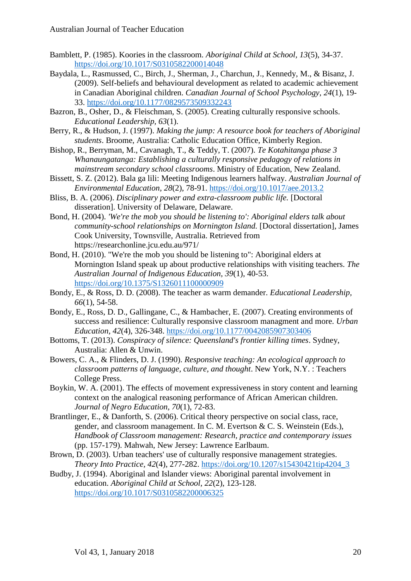- Bamblett, P. (1985). Koories in the classroom. *Aboriginal Child at School, 13*(5), 34-37. <https://doi.org/10.1017/S0310582200014048>
- Baydala, L., Rasmussed, C., Birch, J., Sherman, J., Charchun, J., Kennedy, M., & Bisanz, J. (2009). Self-beliefs and behavioural development as related to academic achievement in Canadian Aboriginal children. *Canadian Journal of School Psychology, 24*(1), 19- 33. <https://doi.org/10.1177/0829573509332243>
- Bazron, B., Osher, D., & Fleischman, S. (2005). Creating culturally responsive schools. *Educational Leadership, 63*(1).
- Berry, R., & Hudson, J. (1997). *Making the jump: A resource book for teachers of Aboriginal students*. Broome, Australia: Catholic Education Office, Kimberly Region.
- Bishop, R., Berryman, M., Cavanagh, T., & Teddy, T. (2007). *Te Kotahitanga phase 3 Whanaungatanga: Establishing a culturally responsive pedagogy of relations in mainstream secondary school classrooms*. Ministry of Education, New Zealand.
- Bissett, S. Z. (2012). Bala ga lili: Meeting Indigenous learners halfway. *Australian Journal of Environmental Education, 28*(2), 78-91.<https://doi.org/10.1017/aee.2013.2>
- Bliss, B. A. (2006). *Disciplinary power and extra-classroom public life.* [Doctoral disseration]. University of Delaware, Delaware.
- Bond, H. (2004). *'We're the mob you should be listening to': Aboriginal elders talk about community-school relationships on Mornington Island.* [Doctoral dissertation], James Cook University, Townsville, Australia. Retrieved from https://researchonline.jcu.edu.au/971/
- Bond, H. (2010). "We're the mob you should be listening to": Aboriginal elders at Mornington Island speak up about productive relationships with visiting teachers. *The Australian Journal of Indigenous Education, 39*(1), 40-53. <https://doi.org/10.1375/S1326011100000909>
- Bondy, E., & Ross, D. D. (2008). The teacher as warm demander. *Educational Leadership, 66*(1), 54-58.
- Bondy, E., Ross, D. D., Gallingane, C., & Hambacher, E. (2007). Creating environments of success and resilience: Culturally responsive classroom managment and more. *Urban Education, 42*(4), 326-348.<https://doi.org/10.1177/0042085907303406>
- Bottoms, T. (2013). *Conspiracy of silence: Queensland's frontier killing times*. Sydney, Australia: Allen & Unwin.
- Bowers, C. A., & Flinders, D. J. (1990). *Responsive teaching: An ecological approach to classroom patterns of language, culture, and thought*. New York, N.Y. : Teachers College Press.
- Boykin, W. A. (2001). The effects of movement expressiveness in story content and learning context on the analogical reasoning performance of African American children. *Journal of Negro Education, 70*(1), 72-83.
- Brantlinger, E., & Danforth, S. (2006). Critical theory perspective on social class, race, gender, and classroom management. In C. M. Evertson & C. S. Weinstein (Eds.), *Handbook of Classroom management: Research, practice and contemporary issues* (pp. 157-179). Mahwah, New Jersey: Lawrence Earlbaum.
- Brown, D. (2003). Urban teachers' use of culturally responsive management strategies. *Theory Into Practice, 42*(4), 277-282. [https://doi.org/10.1207/s15430421tip4204\\_3](https://doi.org/10.1207/s15430421tip4204_3)
- Budby, J. (1994). Aboriginal and Islander views: Aboriginal parental involvement in education. *Aboriginal Child at School, 22*(2), 123-128. <https://doi.org/10.1017/S0310582200006325>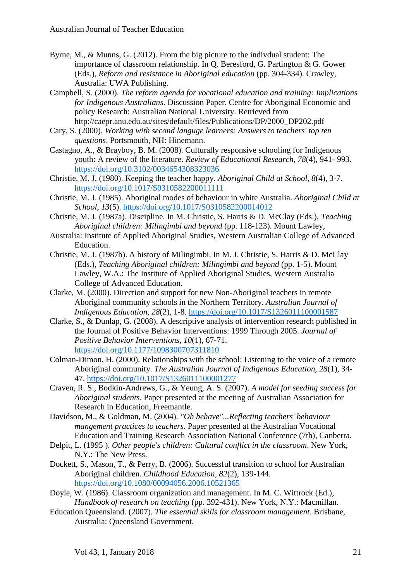- Byrne, M., & Munns, G. (2012). From the big picture to the indivdual student: The importance of classroom relationship. In Q. Beresford, G. Partington & G. Gower (Eds.), *Reform and resistance in Aboriginal education* (pp. 304-334). Crawley, Australia: UWA Publishing.
- Campbell, S. (2000). *The reform agenda for vocational education and training: Implications for Indigenous Australians*. Discussion Paper. Centre for Aboriginal Economic and policy Research: Australian National University. Retrieved from http://caepr.anu.edu.au/sites/default/files/Publications/DP/2000\_DP202.pdf
- Cary, S. (2000). *Working with second languge learners: Answers to teachers' top ten questions*. Portsmouth, NH: Hinemann.
- Castagno, A., & Brayboy, B. M. (2008). Culturally responsive schooling for Indigenous youth: A review of the literature. *Review of Educational Research, 78*(4), 941- 993. <https://doi.org/10.3102/0034654308323036>
- Christie, M. J. (1980). Keeping the teacher happy. *Aboriginal Child at School, 8*(4), 3-7. <https://doi.org/10.1017/S0310582200011111>
- Christie, M. J. (1985). Aboriginal modes of behaviour in white Australia. *Aboriginal Child at School, 13*(5).<https://doi.org/10.1017/S0310582200014012>
- Christie, M. J. (1987a). Discipline. In M. Christie, S. Harris & D. McClay (Eds.), *Teaching Aboriginal children: Milingimbi and beyond* (pp. 118-123). Mount Lawley,
- Australia: Institute of Applied Aboriginal Studies, Western Australian College of Advanced Education.
- Christie, M. J. (1987b). A history of Milingimbi. In M. J. Christie, S. Harris & D. McClay (Eds.), *Teaching Aboriginal children: Milingimbi and beyond* (pp. 1-5). Mount Lawley, W.A.: The Institute of Applied Aboriginal Studies, Western Australia College of Advanced Education.
- Clarke, M. (2000). Direction and support for new Non-Aboriginal teachers in remote Aboriginal community schools in the Northern Territory. *Australian Journal of Indigenous Education, 28*(2), 1-8.<https://doi.org/10.1017/S1326011100001587>
- Clarke, S., & Dunlap, G. (2008). A descriptive analysis of intervention research published in the Journal of Positive Behavior Interventions: 1999 Through 2005. *Journal of Positive Behavior Interventions, 10*(1), 67-71. <https://doi.org/10.1177/1098300707311810>
- Colman-Dimon, H. (2000). Relationships with the school: Listening to the voice of a remote Aboriginal community. *The Australian Journal of Indigenous Education, 28*(1), 34- 47.<https://doi.org/10.1017/S1326011100001277>
- Craven, R. S., Bodkin-Andrews, G., & Yeung, A. S. (2007). *A model for seeding success for Aboriginal students*. Paper presented at the meeting of Australian Association for Research in Education, Freemantle.
- Davidson, M., & Goldman, M. (2004). *"Oh behave"...Reflecting teachers' behaviour mangement practices to teachers.* Paper presented at the Australian Vocational Education and Training Research Association National Conference (7th), Canberra.
- Delpit, L. (1995 ). *Other people's children: Cultural conflict in the classroom*. New York, N.Y.: The New Press.
- Dockett, S., Mason, T., & Perry, B. (2006). Successful transition to school for Australian Aboriginal children. *Childhood Education, 82*(2), 139-144. <https://doi.org/10.1080/00094056.2006.10521365>
- Doyle, W. (1986). Classroom organization and management. In M. C. Wittrock (Ed.), *Handbook of research on teaching* (pp. 392-431). New York, N.Y.: Macmillan.
- Education Queensland. (2007). *The essential skills for classroom management*. Brisbane, Australia: Queensland Government.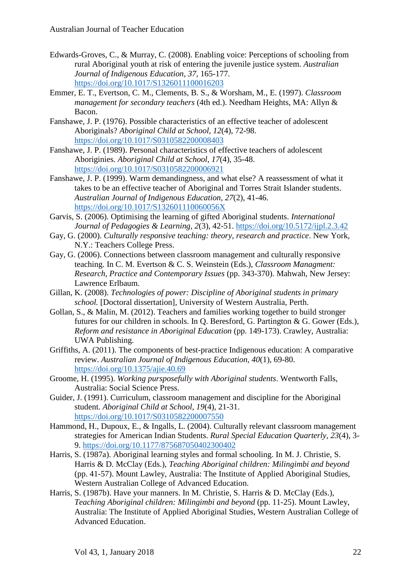- Edwards-Groves, C., & Murray, C. (2008). Enabling voice: Perceptions of schooling from rural Aboriginal youth at risk of entering the juvenile justice system. *Australian Journal of Indigenous Education, 37*, 165-177. <https://doi.org/10.1017/S1326011100016203>
- Emmer, E. T., Evertson, C. M., Clements, B. S., & Worsham, M., E. (1997). *Classroom management for secondary teachers* (4th ed.). Needham Heights, MA: Allyn & Bacon.
- Fanshawe, J. P. (1976). Possible characteristics of an effective teacher of adolescent Aboriginals? *Aboriginal Child at School, 12*(4), 72-98. <https://doi.org/10.1017/S0310582200008403>
- Fanshawe, J. P. (1989). Personal characteristics of effective teachers of adolescent Aboriginies. *Aboriginal Child at School, 17*(4), 35-48. <https://doi.org/10.1017/S0310582200006921>
- Fanshawe, J. P. (1999). Warm demandingness, and what else? A reassessment of what it takes to be an effective teacher of Aboriginal and Torres Strait Islander students. *Australian Journal of Indigenous Education, 27*(2), 41-46. <https://doi.org/10.1017/S132601110060056X>
- Garvis, S. (2006). Optimising the learning of gifted Aboriginal students. *International Journal of Pedagogies & Learning, 2*(3), 42-51.<https://doi.org/10.5172/ijpl.2.3.42>
- Gay, G. (2000). *Culturally responsive teaching: theory, research and practice*. New York, N.Y.: Teachers College Press.
- Gay, G. (2006). Connections between classroom management and culturally responsive teaching. In C. M. Evertson & C. S. Weinstein (Eds.), *Classroom Managment: Research, Practice and Contemporary Issues* (pp. 343-370). Mahwah, New Jersey: Lawrence Erlbaum.
- Gillan, K. (2008). *Technologies of power: Discipline of Aboriginal students in primary school.* [Doctoral dissertation], University of Western Australia, Perth.
- Gollan, S., & Malin, M. (2012). Teachers and families working together to build stronger futures for our children in schools. In Q. Beresford, G. Partington & G. Gower (Eds.), *Reform and resistance in Aboriginal Education* (pp. 149-173). Crawley, Australia: UWA Publishing.
- Griffiths, A. (2011). The components of best-practice Indigenous education: A comparative review. *Australian Journal of Indigenous Education, 40*(1), 69-80. <https://doi.org/10.1375/ajie.40.69>
- Groome, H. (1995). *Working pursposefully with Aboriginal students*. Wentworth Falls, Australia: Social Science Press.
- Guider, J. (1991). Curriculum, classroom management and discipline for the Aboriginal student. *Aboriginal Child at School, 19*(4), 21-31. <https://doi.org/10.1017/S0310582200007550>
- Hammond, H., Dupoux, E., & Ingalls, L. (2004). Culturally relevant classroom management strategies for American Indian Students. *Rural Special Education Quarterly, 23*(4), 3- 9.<https://doi.org/10.1177/875687050402300402>
- Harris, S. (1987a). Aboriginal learning styles and formal schooling. In M. J. Christie, S. Harris & D. McClay (Eds.), *Teaching Aboriginal children: Milingimbi and beyond* (pp. 41-57). Mount Lawley, Australia: The Institute of Applied Aboriginal Studies, Western Australian College of Advanced Education.
- Harris, S. (1987b). Have your manners. In M. Christie, S. Harris & D. McClay (Eds.), *Teaching Aboriginal children: Milingimbi and beyond* (pp. 11-25). Mount Lawley, Australia: The Institute of Applied Aboriginal Studies, Western Australian College of Advanced Education.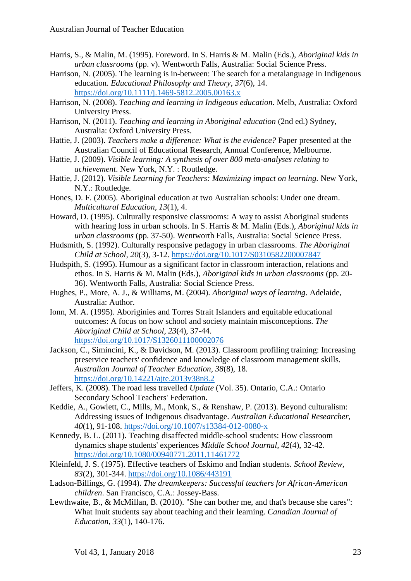- Harris, S., & Malin, M. (1995). Foreword. In S. Harris & M. Malin (Eds.), *Aboriginal kids in urban classrooms* (pp. v). Wentworth Falls, Australia: Social Science Press.
- Harrison, N. (2005). The learning is in-between: The search for a metalanguage in Indigenous education. *Educational Philosophy and Theory, 37*(6), 14. <https://doi.org/10.1111/j.1469-5812.2005.00163.x>
- Harrison, N. (2008). *Teaching and learning in Indigeous education*. Melb, Australia: Oxford University Press.
- Harrison, N. (2011). *Teaching and learning in Aboriginal education* (2nd ed.) Sydney, Australia: Oxford University Press.
- Hattie, J. (2003). *Teachers make a difference: What is the evidence?* Paper presented at the Australian Council of Educational Research, Annual Conference, Melbourne.
- Hattie, J. (2009). *Visible learning: A synthesis of over 800 meta-analyses relating to achievement*. New York, N.Y. : Routledge.
- Hattie, J. (2012). *Visible Learning for Teachers: Maximizing impact on learning.* New York, N.Y.: Routledge.
- Hones, D. F. (2005). Aboriginal education at two Australian schools: Under one dream. *Multicultural Education, 13*(1), 4.
- Howard, D. (1995). Culturally responsive classrooms: A way to assist Aboriginal students with hearing loss in urban schools. In S. Harris & M. Malin (Eds.), *Aboriginal kids in urban classrooms* (pp. 37-50). Wentworth Falls, Australia: Social Science Press.
- Hudsmith, S. (1992). Culturally responsive pedagogy in urban classrooms. *The Aboriginal Child at School, 20*(3), 3-12.<https://doi.org/10.1017/S0310582200007847>
- Hudspith, S. (1995). Humour as a significant factor in classroom interaction, relations and ethos. In S. Harris & M. Malin (Eds.), *Aboriginal kids in urban classrooms* (pp. 20- 36). Wentworth Falls, Australia: Social Science Press.
- Hughes, P., More, A. J., & Williams, M. (2004). *Aboriginal ways of learning*. Adelaide, Australia: Author.
- Ionn, M. A. (1995). Aboriginies and Torres Strait Islanders and equitable educational outcomes: A focus on how school and society maintain misconceptions. *The Aboriginal Child at School, 23*(4), 37-44. <https://doi.org/10.1017/S1326011100002076>
- Jackson, C., Simincini, K., & Davidson, M. (2013). Classroom profiling training: Increasing preservice teachers' confidence and knowledge of classroom management skills. *Australian Journal of Teacher Education, 38*(8), 18. <https://doi.org/10.14221/ajte.2013v38n8.2>
- Jeffers, K. (2008). The road less travelled *Update* (Vol. 35). Ontario, C.A.: Ontario Secondary School Teachers' Federation.
- Keddie, A., Gowlett, C., Mills, M., Monk, S., & Renshaw, P. (2013). Beyond culturalism: Addressing issues of Indigenous disadvantage. *Australian Educational Researcher, 40*(1), 91-108.<https://doi.org/10.1007/s13384-012-0080-x>
- Kennedy, B. L. (2011). Teaching disaffected middle-school students: How classroom dynamics shape students' experiences *Middle School Journal, 42*(4), 32-42. <https://doi.org/10.1080/00940771.2011.11461772>
- Kleinfeld, J. S. (1975). Effective teachers of Eskimo and Indian students. *School Review, 83*(2), 301-344.<https://doi.org/10.1086/443191>
- Ladson-Billings, G. (1994). *The dreamkeepers: Successful teachers for African-American children*. San Francisco, C.A.: Jossey-Bass.
- Lewthwaite, B., & McMillan, B. (2010). "She can bother me, and that's because she cares": What Inuit students say about teaching and their learning. *Canadian Journal of Education, 33*(1), 140-176.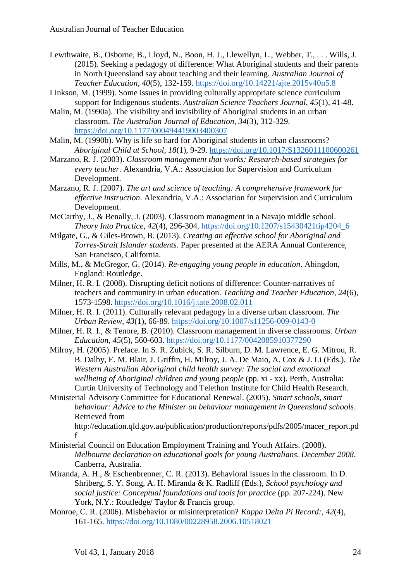- Lewthwaite, B., Osborne, B., Lloyd, N., Boon, H. J., Llewellyn, L., Webber, T., . . . Wills, J. (2015). Seeking a pedagogy of difference: What Aboriginal students and their parents in North Queensland say about teaching and their learning. *Australian Journal of Teacher Education, 40*(5), 132-159.<https://doi.org/10.14221/ajte.2015v40n5.8>
- Linkson, M. (1999). Some issues in providing culturally appropriate science curriculum support for Indigenous students. *Australian Science Teachers Journal, 45*(1), 41-48.
- Malin, M. (1990a). The visibility and invisibility of Aboriginal students in an urban classroom. *The Australian Journal of Education, 34*(3), 312-329. <https://doi.org/10.1177/000494419003400307>
- Malin, M. (1990b). Why is life so hard for Aboriginal students in urban classrooms? *Aboriginal Child at School, 18*(1), 9-29.<https://doi.org/10.1017/S1326011100600261>
- Marzano, R. J. (2003). *Classroom management that works: Research-based strategies for every teacher*. Alexandria, V.A.: Association for Supervision and Curriculum Development.
- Marzano, R. J. (2007). *The art and science of teaching: A comprehensive framework for effective instruction*. Alexandria, V.A.: Association for Supervision and Curriculum Development.
- McCarthy, J., & Benally, J. (2003). Classroom managment in a Navajo middle school. *Theory Into Practice, 42*(4), 296-304. [https://doi.org/10.1207/s15430421tip4204\\_6](https://doi.org/10.1207/s15430421tip4204_6)
- Milgate, G., & Giles-Brown, B. (2013). *Creating an effective school for Aboriginal and Torres-Strait Islander students*. Paper presented at the AERA Annual Conference, San Francisco, California.
- Mills, M., & McGregor, G. (2014). *Re-engaging young people in education*. Abingdon, England: Routledge.
- Milner, H. R. I. (2008). Disrupting deficit notions of difference: Counter-narratives of teachers and community in urban education. *Teaching and Teacher Education, 24*(6), 1573-1598.<https://doi.org/10.1016/j.tate.2008.02.011>
- Milner, H. R. I. (2011). Culturally relevant pedagogy in a diverse urban classroom. *The Urban Review, 43*(1), 66-89.<https://doi.org/10.1007/s11256-009-0143-0>
- Milner, H. R. I., & Tenore, B. (2010). Classroom management in diverse classrooms. *Urban Education, 45*(5), 560-603.<https://doi.org/10.1177/0042085910377290>
- Milroy, H. (2005). Preface. In S. R. Zubick, S. R. Silburn, D. M. Lawrence, E. G. Mitrou, R. B. Dalby, E. M. Blair, J. Griffin, H. Milroy, J. A. De Maio, A. Cox & J. Li (Eds.), *The Western Australian Aboriginal child health survey: The social and emotional wellbeing of Aboriginal children and young people* (pp. xi - xx). Perth, Australia: Curtin University of Technology and Telethon Institute for Child Health Research.
- Ministerial Advisory Committee for Educational Renewal. (2005). *Smart schools, smart behaviour: Advice to the Minister on behaviour management in Queensland schools*. Retrieved from

http://education.qld.gov.au/publication/production/reports/pdfs/2005/macer\_report.pd f

- Ministerial Council on Education Employment Training and Youth Affairs. (2008). *Melbourne declaration on educational goals for young Australians. December 2008*. Canberra, Australia.
- Miranda, A. H., & Eschenbrenner, C. R. (2013). Behavioral issues in the classroom. In D. Shriberg, S. Y. Song, A. H. Miranda & K. Radliff (Eds.), *School psychology and social justice: Conceptual foundations and tools for practice* (pp. 207-224). New York, N.Y.: Routledge/ Taylor & Francis group.
- Monroe, C. R. (2006). Misbehavior or misinterpretation? *Kappa Delta Pi Record:, 42*(4), 161-165.<https://doi.org/10.1080/00228958.2006.10518021>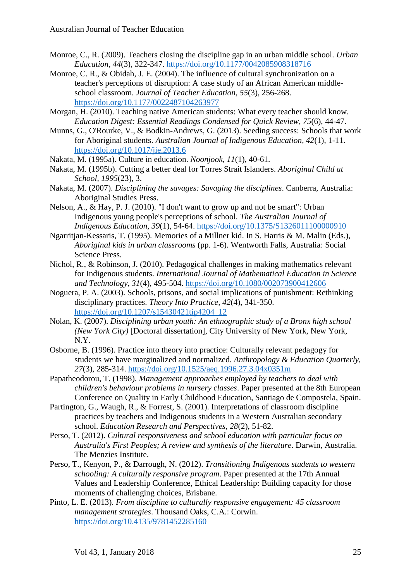- Monroe, C., R. (2009). Teachers closing the discipline gap in an urban middle school. *Urban Education, 44*(3), 322-347.<https://doi.org/10.1177/0042085908318716>
- Monroe, C. R., & Obidah, J. E. (2004). The influence of cultural synchronization on a teacher's perceptions of disruption: A case study of an African American middleschool classroom. *Journal of Teacher Education, 55*(3), 256-268. <https://doi.org/10.1177/0022487104263977>
- Morgan, H. (2010). Teaching native American students: What every teacher should know. *Education Digest: Essential Readings Condensed for Quick Review, 75*(6), 44-47.
- Munns, G., O'Rourke, V., & Bodkin-Andrews, G. (2013). Seeding success: Schools that work for Aboriginal students. *Australian Journal of Indigenous Education, 42*(1), 1-11. <https://doi.org/10.1017/jie.2013.6>
- Nakata, M. (1995a). Culture in education. *Noonjook, 11*(1), 40-61.
- Nakata, M. (1995b). Cutting a better deal for Torres Strait Islanders. *Aboriginal Child at School, 1995*(23), 3.
- Nakata, M. (2007). *Disciplining the savages: Savaging the disciplines*. Canberra, Australia: Aboriginal Studies Press.
- Nelson, A., & Hay, P. J. (2010). "I don't want to grow up and not be smart": Urban Indigenous young people's perceptions of school. *The Australian Journal of Indigenous Education, 39*(1), 54-64.<https://doi.org/10.1375/S1326011100000910>
- Ngarritjan-Kessaris, T. (1995). Memories of a Millner kid. In S. Harris & M. Malin (Eds.), *Aboriginal kids in urban classrooms* (pp. 1-6). Wentworth Falls, Australia: Social Science Press.
- Nichol, R., & Robinson, J. (2010). Pedagogical challenges in making mathematics relevant for Indigenous students. *International Journal of Mathematical Education in Science and Technology, 31*(4), 495-504.<https://doi.org/10.1080/002073900412606>
- Noguera, P. A. (2003). Schools, prisons, and social implications of punishment: Rethinking disciplinary practices. *Theory Into Practice, 42*(4), 341-350. [https://doi.org/10.1207/s15430421tip4204\\_12](https://doi.org/10.1207/s15430421tip4204_12)
- Nolan, K. (2007). *Disciplining urban youth: An ethnographic study of a Bronx high school (New York City)* [Doctoral dissertation], City University of New York, New York, N.Y.
- Osborne, B. (1996). Practice into theory into practice: Culturally relevant pedagogy for students we have marginalized and normalized. *Anthropology & Education Quarterly, 27*(3), 285-314.<https://doi.org/10.1525/aeq.1996.27.3.04x0351m>
- Papatheodorou, T. (1998). *Management approaches employed by teachers to deal with children's behaviour problems in nursery classes*. Paper presented at the 8th European Conference on Quality in Early Childhood Education, Santiago de Compostela, Spain.
- Partington, G., Waugh, R., & Forrest, S. (2001). Interpretations of classroom discipline practices by teachers and Indigenous students in a Western Australian secondary school. *Education Research and Perspectives, 28*(2), 51-82.
- Perso, T. (2012). *Cultural responsiveness and school education with particular focus on Australia's First Peoples; A review and synthesis of the literature*. Darwin, Australia. The Menzies Institute.
- Perso, T., Kenyon, P., & Darrough, N. (2012). *Transitioning Indigenous students to western schooling: A culturally responsive program*. Paper presented at the 17th Annual Values and Leadership Conference, Ethical Leadership: Building capacity for those moments of challenging choices, Brisbane.
- Pinto, L. E. (2013). *From discipline to culturally responsive engagement: 45 classroom management strategies*. Thousand Oaks, C.A.: Corwin. <https://doi.org/10.4135/9781452285160>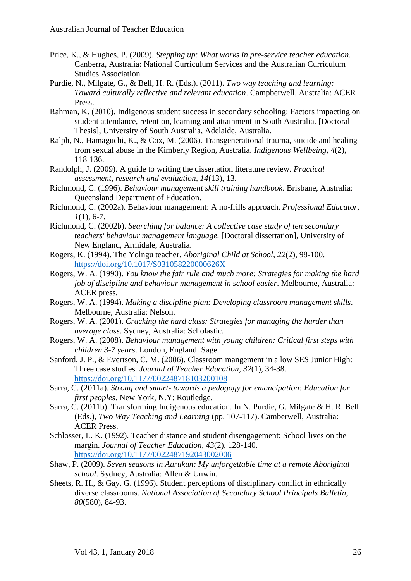- Price, K., & Hughes, P. (2009). *Stepping up: What works in pre-service teacher education*. Canberra, Australia: National Curriculum Services and the Australian Curriculum Studies Association.
- Purdie, N., Milgate, G., & Bell, H. R. (Eds.). (2011). *Two way teaching and learning: Toward culturally reflective and relevant education*. Campberwell, Australia: ACER Press.
- Rahman, K. (2010). Indigenous student success in secondary schooling: Factors impacting on student attendance, retention, learning and attainment in South Australia. [Doctoral Thesis], University of South Australia, Adelaide, Australia.
- Ralph, N., Hamaguchi, K., & Cox, M. (2006). Transgenerational trauma, suicide and healing from sexual abuse in the Kimberly Region, Australia. *Indigenous Wellbeing, 4*(2), 118-136.
- Randolph, J. (2009). A guide to writing the dissertation literature review. *Practical assessment, research and evaluation, 14*(13), 13.
- Richmond, C. (1996). *Behaviour management skill training handbook*. Brisbane, Australia: Queensland Department of Education.
- Richmond, C. (2002a). Behaviour management: A no-frills approach. *Professional Educator, 1*(1), 6-7.
- Richmond, C. (2002b). *Searching for balance: A collective case study of ten secondary teachers' behaviour management language.* [Doctoral dissertation], University of New England, Armidale, Australia.
- Rogers, K. (1994). The Yolngu teacher. *Aboriginal Child at School, 22*(2), 98-100. <https://doi.org/10.1017/S031058220000626X>
- Rogers, W. A. (1990). *You know the fair rule and much more: Strategies for making the hard job of discipline and behaviour management in school easier*. Melbourne, Australia: ACER press.
- Rogers, W. A. (1994). *Making a discipline plan: Developing classroom management skills*. Melbourne, Australia: Nelson.
- Rogers, W. A. (2001). *Cracking the hard class: Strategies for managing the harder than average class*. Sydney, Australia: Scholastic.
- Rogers, W. A. (2008). *Behaviour management with young children: Critical first steps with children 3-7 years*. London, England: Sage.
- Sanford, J. P., & Evertson, C. M. (2006). Classroom mangement in a low SES Junior High: Three case studies. *Journal of Teacher Education, 32*(1), 34-38. <https://doi.org/10.1177/002248718103200108>
- Sarra, C. (2011a). *Strong and smart- towards a pedagogy for emancipation: Education for first peoples*. New York, N.Y: Routledge.
- Sarra, C. (2011b). Transforming Indigenous education. In N. Purdie, G. Milgate & H. R. Bell (Eds.), *Two Way Teaching and Learning* (pp. 107-117). Camberwell, Australia: ACER Press.
- Schlosser, L. K. (1992). Teacher distance and student disengagement: School lives on the margin. *Journal of Teacher Education, 43*(2), 128-140. <https://doi.org/10.1177/0022487192043002006>
- Shaw, P. (2009). *Seven seasons in Aurukun: My unforgettable time at a remote Aboriginal school*. Sydney, Australia: Allen & Unwin.
- Sheets, R. H., & Gay, G. (1996). Student perceptions of disciplinary conflict in ethnically diverse classrooms. *National Association of Secondary School Principals Bulletin, 80*(580), 84-93.